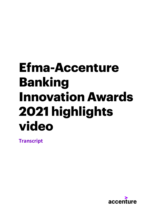## **Efma-Accenture Banking Innovation Awards 2021 highlights video**

**Transcript**

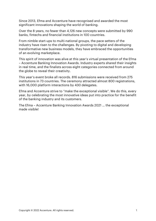Since 2013, Efma and Accenture have recognised and awarded the most significant innovations shaping the world of banking.

Over the 8 years, no fewer than 4,126 new concepts were submitted by 990 banks, fintechs and financial institutions in 100 countries.

From nimble start-ups to multi-national groups, the pace setters of the industry have risen to the challenges. By pivoting to digital and developing transformative new business models, they have embraced the opportunities of an evolving marketplace.

This spirit of innovation was alive at this year's virtual presentation of the Efma – Accenture Banking Innovation Awards. Industry experts shared their insights in real time, and the finalists across eight categories connected from around the globe to reveal their creativity.

This year's event broke all records. 816 submissions were received from 275 institutions in 73 countries. The ceremony attracted almost 800 registrations, with 16,000 platform interactions by 430 delegates.

Efma and Accenture strive to "make the exceptional visible". We do this, every year, by celebrating the most innovative ideas put into practice for the benefit of the banking industry and its customers.

The Efma – Accenture Banking Innovation Awards 2021 … the exceptional made visible!